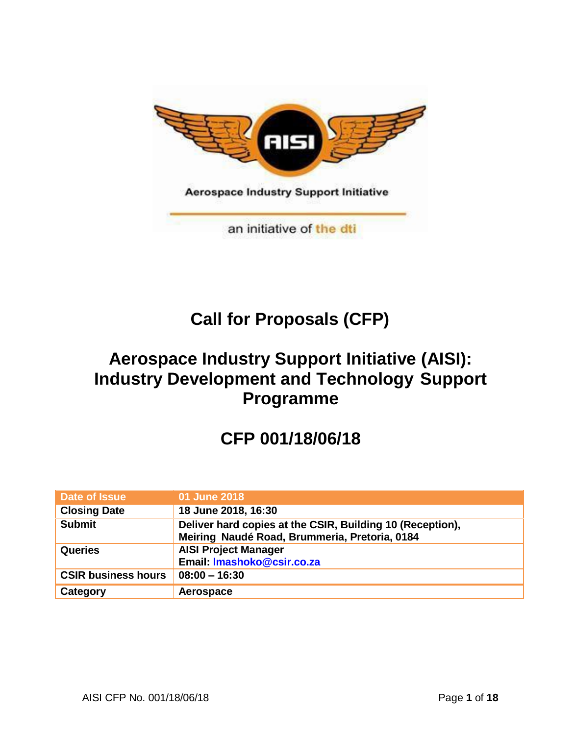

# **Call for Proposals (CFP)**

# **Aerospace Industry Support Initiative (AISI): Industry Development and Technology Support Programme**

# **CFP 001/18/06/18**

| Date of Issue              | 01 June 2018                                                                                               |
|----------------------------|------------------------------------------------------------------------------------------------------------|
| <b>Closing Date</b>        | 18 June 2018, 16:30                                                                                        |
| <b>Submit</b>              | Deliver hard copies at the CSIR, Building 10 (Reception),<br>Meiring Naudé Road, Brummeria, Pretoria, 0184 |
| Queries                    | <b>AISI Project Manager</b><br>Email: Imashoko@csir.co.za                                                  |
| <b>CSIR business hours</b> | $08:00 - 16:30$                                                                                            |
| Category                   | Aerospace                                                                                                  |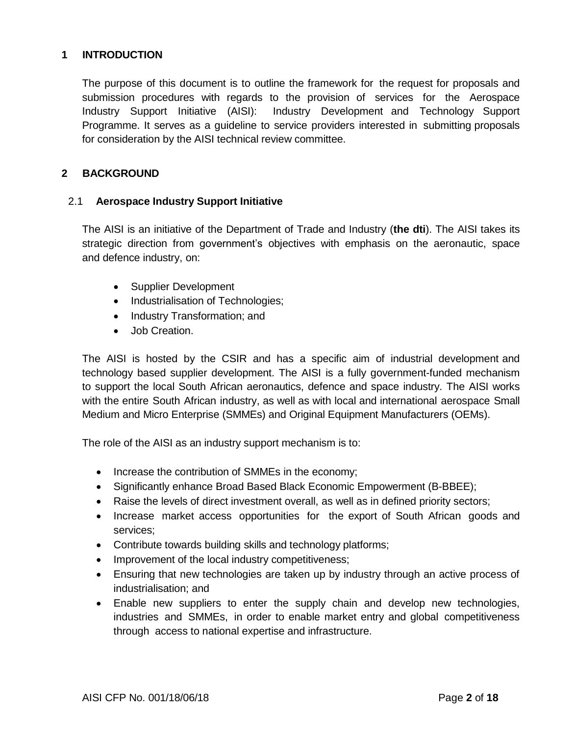#### **1 INTRODUCTION**

The purpose of this document is to outline the framework for the request for proposals and submission procedures with regards to the provision of services for the Aerospace Industry Support Initiative (AISI): Industry Development and Technology Support Programme. It serves as a guideline to service providers interested in submitting proposals for consideration by the AISI technical review committee.

# **2 BACKGROUND**

#### 2.1 **Aerospace Industry Support Initiative**

The AISI is an initiative of the Department of Trade and Industry (**the dti**). The AISI takes its strategic direction from government's objectives with emphasis on the aeronautic, space and defence industry, on:

- Supplier Development
- Industrialisation of Technologies;
- Industry Transformation; and
- Job Creation.

The AISI is hosted by the CSIR and has a specific aim of industrial development and technology based supplier development. The AISI is a fully government-funded mechanism to support the local South African aeronautics, defence and space industry. The AISI works with the entire South African industry, as well as with local and international aerospace Small Medium and Micro Enterprise (SMMEs) and Original Equipment Manufacturers (OEMs).

The role of the AISI as an industry support mechanism is to:

- Increase the contribution of SMMEs in the economy;
- Significantly enhance Broad Based Black Economic Empowerment (B-BBEE);
- Raise the levels of direct investment overall, as well as in defined priority sectors;
- Increase market access opportunities for the export of South African goods and services;
- Contribute towards building skills and technology platforms;
- Improvement of the local industry competitiveness;
- Ensuring that new technologies are taken up by industry through an active process of industrialisation; and
- Enable new suppliers to enter the supply chain and develop new technologies, industries and SMMEs, in order to enable market entry and global competitiveness through access to national expertise and infrastructure.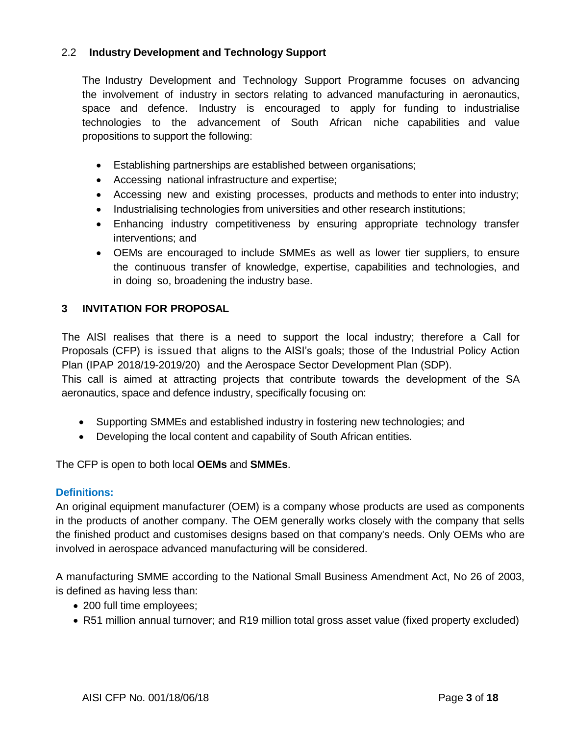## 2.2 **Industry Development and Technology Support**

The Industry Development and Technology Support Programme focuses on advancing the involvement of industry in sectors relating to advanced manufacturing in aeronautics, space and defence. Industry is encouraged to apply for funding to industrialise technologies to the advancement of South African niche capabilities and value propositions to support the following:

- Establishing partnerships are established between organisations;
- Accessing national infrastructure and expertise;
- Accessing new and existing processes, products and methods to enter into industry;
- Industrialising technologies from universities and other research institutions;
- Enhancing industry competitiveness by ensuring appropriate technology transfer interventions; and
- OEMs are encouraged to include SMMEs as well as lower tier suppliers, to ensure the continuous transfer of knowledge, expertise, capabilities and technologies, and in doing so, broadening the industry base.

# **3 INVITATION FOR PROPOSAL**

The AISI realises that there is a need to support the local industry; therefore a Call for Proposals (CFP) is issued that aligns to the AISI's goals; those of the Industrial Policy Action Plan (IPAP 2018/19-2019/20) and the Aerospace Sector Development Plan (SDP).

This call is aimed at attracting projects that contribute towards the development of the SA aeronautics, space and defence industry, specifically focusing on:

- Supporting SMMEs and established industry in fostering new technologies; and
- Developing the local content and capability of South African entities.

The CFP is open to both local **OEMs** and **SMMEs**.

#### **Definitions:**

An original equipment manufacturer (OEM) is a company whose products are used as components in the products of another company. The OEM generally works closely with the company that sells the finished product and customises designs based on that company's needs. Only OEMs who are involved in aerospace advanced manufacturing will be considered.

A manufacturing SMME according to the National Small Business Amendment Act, No 26 of 2003, is defined as having less than:

- 200 full time employees;
- R51 million annual turnover; and R19 million total gross asset value (fixed property excluded)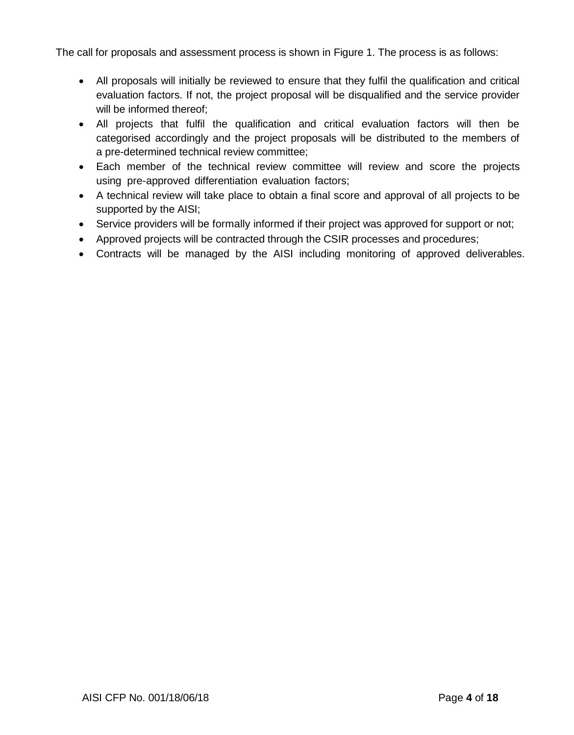The call for proposals and assessment process is shown in Figure 1. The process is as follows:

- All proposals will initially be reviewed to ensure that they fulfil the qualification and critical evaluation factors. If not, the project proposal will be disqualified and the service provider will be informed thereof:
- All projects that fulfil the qualification and critical evaluation factors will then be categorised accordingly and the project proposals will be distributed to the members of a pre-determined technical review committee;
- Each member of the technical review committee will review and score the projects using pre-approved differentiation evaluation factors;
- A technical review will take place to obtain a final score and approval of all projects to be supported by the AISI;
- Service providers will be formally informed if their project was approved for support or not;
- Approved projects will be contracted through the CSIR processes and procedures;
- Contracts will be managed by the AISI including monitoring of approved deliverables.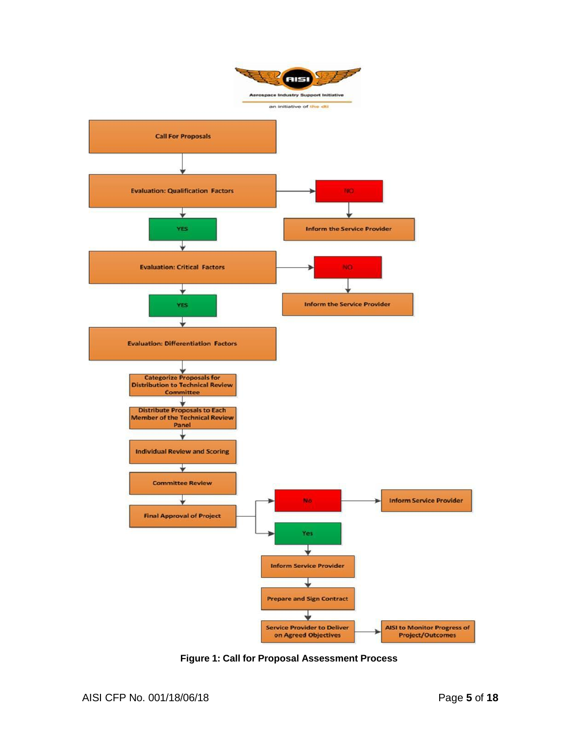

**Figure 1: Call for Proposal Assessment Process**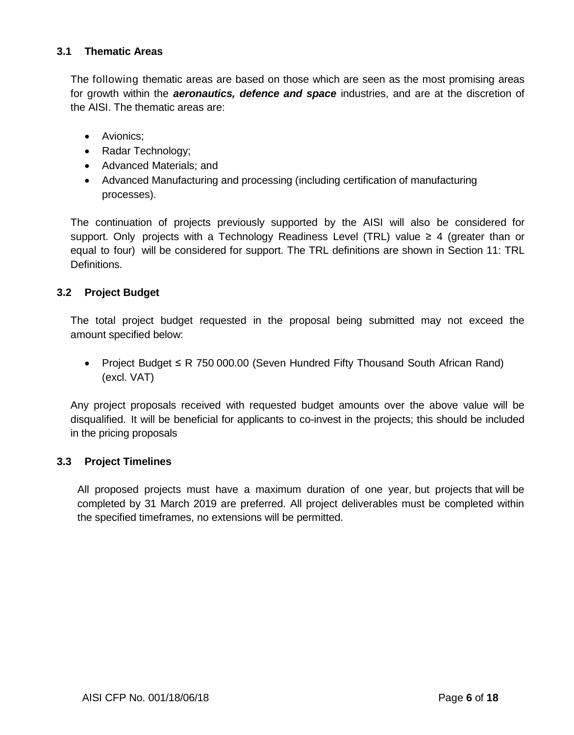# **3.1 Thematic Areas**

The following thematic areas are based on those which are seen as the most promising areas for growth within the *aeronautics, defence and space* industries, and are at the discretion of the AISI. The thematic areas are:

- Avionics:
- Radar Technology;
- Advanced Materials: and
- Advanced Manufacturing and processing (including certification of manufacturing processes).

The continuation of projects previously supported by the AISI will also be considered for support. Only projects with a Technology Readiness Level (TRL) value  $\geq 4$  (greater than or equal to four) will be considered for support. The TRL definitions are shown in Section 11: TRL Definitions.

### **3.2 Project Budget**

The total project budget requested in the proposal being submitted may not exceed the amount specified below:

 Project Budget ≤ R 750 000.00 (Seven Hundred Fifty Thousand South African Rand) (excl. VAT)

Any project proposals received with requested budget amounts over the above value will be disqualified. It will be beneficial for applicants to co-invest in the projects; this should be included in the pricing proposals

#### **3.3 Project Timelines**

All proposed projects must have a maximum duration of one year, but projects that will be completed by 31 March 2019 are preferred. All project deliverables must be completed within the specified timeframes, no extensions will be permitted.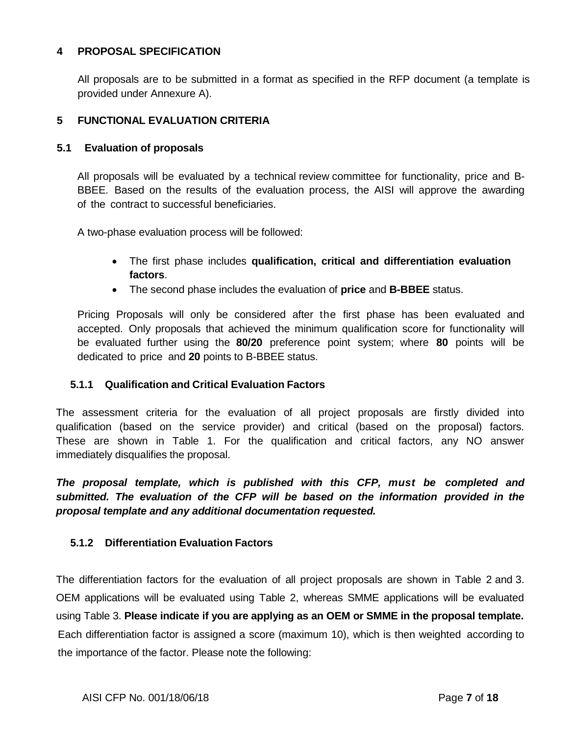## **4 PROPOSAL SPECIFICATION**

All proposals are to be submitted in a format as specified in the RFP document (a template is provided under Annexure A).

### **5 FUNCTIONAL EVALUATION CRITERIA**

#### **5.1 Evaluation of proposals**

All proposals will be evaluated by a technical review committee for functionality, price and B-BBEE. Based on the results of the evaluation process, the AISI will approve the awarding of the contract to successful beneficiaries.

A two-phase evaluation process will be followed:

- The first phase includes **qualification, critical and differentiation evaluation factors**.
- The second phase includes the evaluation of **price** and **B-BBEE** status.

Pricing Proposals will only be considered after the first phase has been evaluated and accepted. Only proposals that achieved the minimum qualification score for functionality will be evaluated further using the **80/20** preference point system; where **80** points will be dedicated to price and **20** points to B-BBEE status.

# **5.1.1 Qualification and Critical Evaluation Factors**

The assessment criteria for the evaluation of all project proposals are firstly divided into qualification (based on the service provider) and critical (based on the proposal) factors. These are shown in Table 1. For the qualification and critical factors, any NO answer immediately disqualifies the proposal.

*The proposal template, which is published with this CFP, must be completed and submitted. The evaluation of the CFP will be based on the information provided in the proposal template and any additional documentation requested.*

# **5.1.2 Differentiation Evaluation Factors**

The differentiation factors for the evaluation of all project proposals are shown in Table 2 and 3. OEM applications will be evaluated using Table 2, whereas SMME applications will be evaluated using Table 3. **Please indicate if you are applying as an OEM or SMME in the proposal template.** Each differentiation factor is assigned a score (maximum 10), which is then weighted according to the importance of the factor. Please note the following: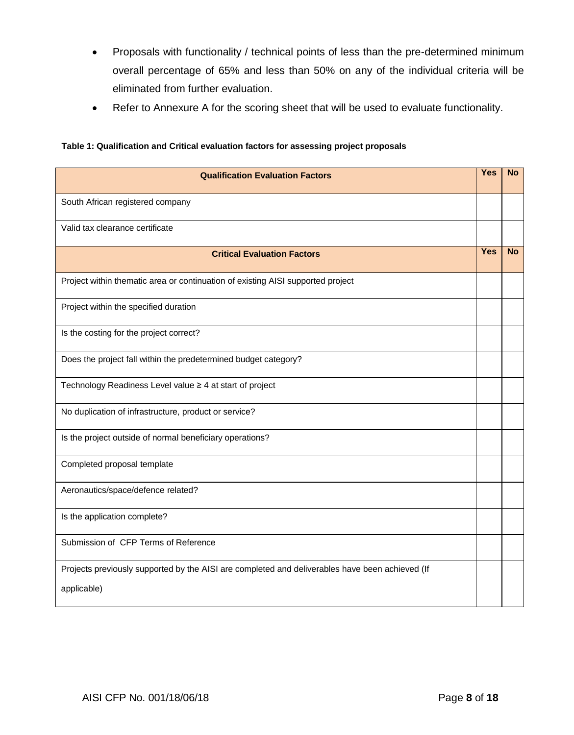- Proposals with functionality / technical points of less than the pre-determined minimum overall percentage of 65% and less than 50% on any of the individual criteria will be eliminated from further evaluation.
- Refer to Annexure A for the scoring sheet that will be used to evaluate functionality.

**Table 1: Qualification and Critical evaluation factors for assessing project proposals**

| <b>Qualification Evaluation Factors</b>                                                                        | <b>Yes</b> | <b>No</b> |
|----------------------------------------------------------------------------------------------------------------|------------|-----------|
| South African registered company                                                                               |            |           |
| Valid tax clearance certificate                                                                                |            |           |
| <b>Critical Evaluation Factors</b>                                                                             | <b>Yes</b> | <b>No</b> |
| Project within thematic area or continuation of existing AISI supported project                                |            |           |
| Project within the specified duration                                                                          |            |           |
| Is the costing for the project correct?                                                                        |            |           |
| Does the project fall within the predetermined budget category?                                                |            |           |
| Technology Readiness Level value ≥ 4 at start of project                                                       |            |           |
| No duplication of infrastructure, product or service?                                                          |            |           |
| Is the project outside of normal beneficiary operations?                                                       |            |           |
| Completed proposal template                                                                                    |            |           |
| Aeronautics/space/defence related?                                                                             |            |           |
| Is the application complete?                                                                                   |            |           |
| Submission of CFP Terms of Reference                                                                           |            |           |
| Projects previously supported by the AISI are completed and deliverables have been achieved (If<br>applicable) |            |           |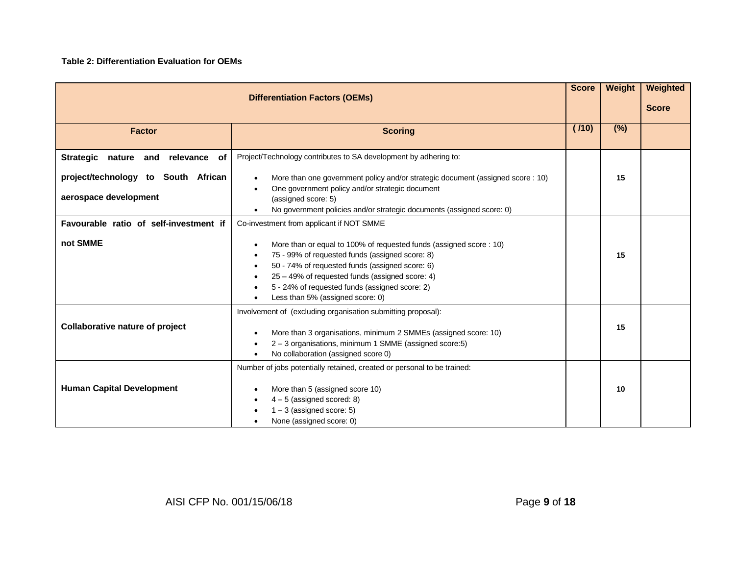#### **Table 2: Differentiation Evaluation for OEMs**

|                                                                                                         |                                                                                                                                                                                                                                                                                                                                                                                                       | <b>Score</b> | Weight | Weighted     |
|---------------------------------------------------------------------------------------------------------|-------------------------------------------------------------------------------------------------------------------------------------------------------------------------------------------------------------------------------------------------------------------------------------------------------------------------------------------------------------------------------------------------------|--------------|--------|--------------|
| <b>Differentiation Factors (OEMs)</b>                                                                   |                                                                                                                                                                                                                                                                                                                                                                                                       |              |        | <b>Score</b> |
| <b>Factor</b>                                                                                           | <b>Scoring</b>                                                                                                                                                                                                                                                                                                                                                                                        | (110)        | (%)    |              |
| Strategic nature and<br>relevance<br>оf<br>project/technology to South African<br>aerospace development | Project/Technology contributes to SA development by adhering to:<br>More than one government policy and/or strategic document (assigned score : 10)<br>$\bullet$<br>One government policy and/or strategic document<br>$\bullet$<br>(assigned score: 5)<br>No government policies and/or strategic documents (assigned score: 0)<br>$\bullet$                                                         |              | 15     |              |
| Favourable ratio of self-investment if<br>not SMME                                                      | Co-investment from applicant if NOT SMME<br>More than or equal to 100% of requested funds (assigned score : 10)<br>$\bullet$<br>75 - 99% of requested funds (assigned score: 8)<br>$\bullet$<br>50 - 74% of requested funds (assigned score: 6)<br>$\bullet$<br>25 - 49% of requested funds (assigned score: 4)<br>5 - 24% of requested funds (assigned score: 2)<br>Less than 5% (assigned score: 0) |              | 15     |              |
| Collaborative nature of project                                                                         | Involvement of (excluding organisation submitting proposal):<br>More than 3 organisations, minimum 2 SMMEs (assigned score: 10)<br>$\bullet$<br>2 - 3 organisations, minimum 1 SMME (assigned score:5)<br>No collaboration (assigned score 0)<br>$\bullet$                                                                                                                                            |              | 15     |              |
| <b>Human Capital Development</b>                                                                        | Number of jobs potentially retained, created or personal to be trained:<br>More than 5 (assigned score 10)<br>$4-5$ (assigned scored: 8)<br>$1 - 3$ (assigned score: 5)<br>None (assigned score: 0)                                                                                                                                                                                                   |              | 10     |              |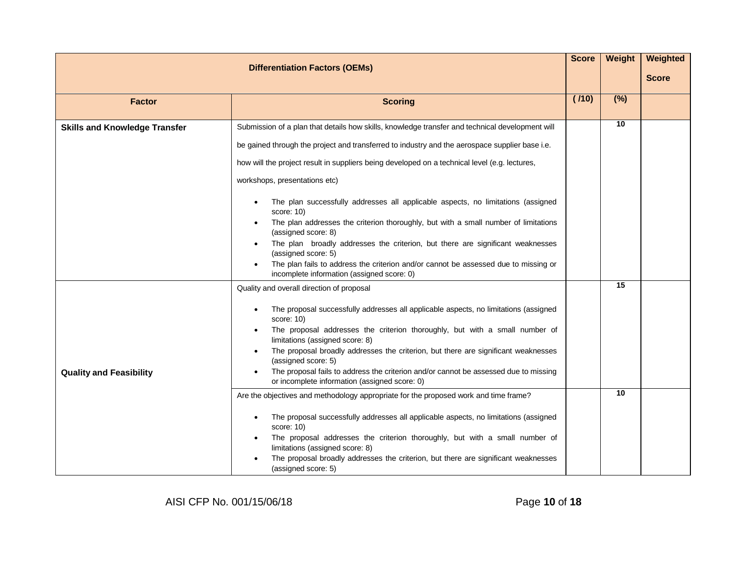| <b>Differentiation Factors (OEMs)</b>                                                                                                                                                                                                                                                                                                                                                                                                                                                                                                                                                                                                                                                                                                                                                                                                                                                                                                                                                                                         |                                                                                                                                                                                                                                                                                                                                                                                                                                                                                                                                                                                                                                                                                                                                                                                                                             |  | Weight   | Weighted<br><b>Score</b> |
|-------------------------------------------------------------------------------------------------------------------------------------------------------------------------------------------------------------------------------------------------------------------------------------------------------------------------------------------------------------------------------------------------------------------------------------------------------------------------------------------------------------------------------------------------------------------------------------------------------------------------------------------------------------------------------------------------------------------------------------------------------------------------------------------------------------------------------------------------------------------------------------------------------------------------------------------------------------------------------------------------------------------------------|-----------------------------------------------------------------------------------------------------------------------------------------------------------------------------------------------------------------------------------------------------------------------------------------------------------------------------------------------------------------------------------------------------------------------------------------------------------------------------------------------------------------------------------------------------------------------------------------------------------------------------------------------------------------------------------------------------------------------------------------------------------------------------------------------------------------------------|--|----------|--------------------------|
| <b>Factor</b><br><b>Scoring</b>                                                                                                                                                                                                                                                                                                                                                                                                                                                                                                                                                                                                                                                                                                                                                                                                                                                                                                                                                                                               |                                                                                                                                                                                                                                                                                                                                                                                                                                                                                                                                                                                                                                                                                                                                                                                                                             |  | (%)      |                          |
| <b>Skills and Knowledge Transfer</b>                                                                                                                                                                                                                                                                                                                                                                                                                                                                                                                                                                                                                                                                                                                                                                                                                                                                                                                                                                                          | Submission of a plan that details how skills, knowledge transfer and technical development will<br>be gained through the project and transferred to industry and the aerospace supplier base i.e.<br>how will the project result in suppliers being developed on a technical level (e.g. lectures,<br>workshops, presentations etc)<br>The plan successfully addresses all applicable aspects, no limitations (assigned<br>$\bullet$<br>score: 10)<br>The plan addresses the criterion thoroughly, but with a small number of limitations<br>(assigned score: 8)<br>The plan broadly addresses the criterion, but there are significant weaknesses<br>(assigned score: 5)<br>The plan fails to address the criterion and/or cannot be assessed due to missing or<br>$\bullet$<br>incomplete information (assigned score: 0) |  | 10       |                          |
| Quality and overall direction of proposal<br>The proposal successfully addresses all applicable aspects, no limitations (assigned<br>$\bullet$<br>score: 10)<br>The proposal addresses the criterion thoroughly, but with a small number of<br>limitations (assigned score: 8)<br>The proposal broadly addresses the criterion, but there are significant weaknesses<br>(assigned score: 5)<br>The proposal fails to address the criterion and/or cannot be assessed due to missing<br><b>Quality and Feasibility</b><br>$\bullet$<br>or incomplete information (assigned score: 0)<br>Are the objectives and methodology appropriate for the proposed work and time frame?<br>The proposal successfully addresses all applicable aspects, no limitations (assigned<br>$\bullet$<br>score: 10)<br>The proposal addresses the criterion thoroughly, but with a small number of<br>limitations (assigned score: 8)<br>The proposal broadly addresses the criterion, but there are significant weaknesses<br>(assigned score: 5) |                                                                                                                                                                                                                                                                                                                                                                                                                                                                                                                                                                                                                                                                                                                                                                                                                             |  | 15<br>10 |                          |

AISI CFP No. 001/15/06/18 Page **10** of **18**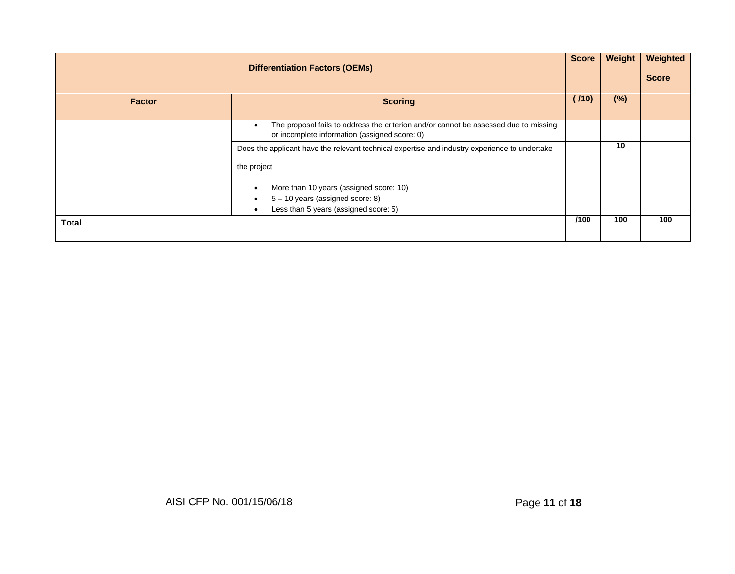| <b>Differentiation Factors (OEMs)</b> |                                                                                                                                                             | <b>Score</b> | Weight | Weighted<br><b>Score</b> |
|---------------------------------------|-------------------------------------------------------------------------------------------------------------------------------------------------------------|--------------|--------|--------------------------|
| <b>Factor</b>                         | <b>Scoring</b>                                                                                                                                              | (110)        | $(\%)$ |                          |
|                                       | The proposal fails to address the criterion and/or cannot be assessed due to missing<br>$\bullet$<br>or incomplete information (assigned score: 0)          |              |        |                          |
|                                       | Does the applicant have the relevant technical expertise and industry experience to undertake<br>the project                                                |              | 10     |                          |
|                                       | More than 10 years (assigned score: 10)<br>$\bullet$<br>5 - 10 years (assigned score: 8)<br>$\bullet$<br>Less than 5 years (assigned score: 5)<br>$\bullet$ |              |        |                          |
| Total                                 |                                                                                                                                                             | /100         | 100    | 100                      |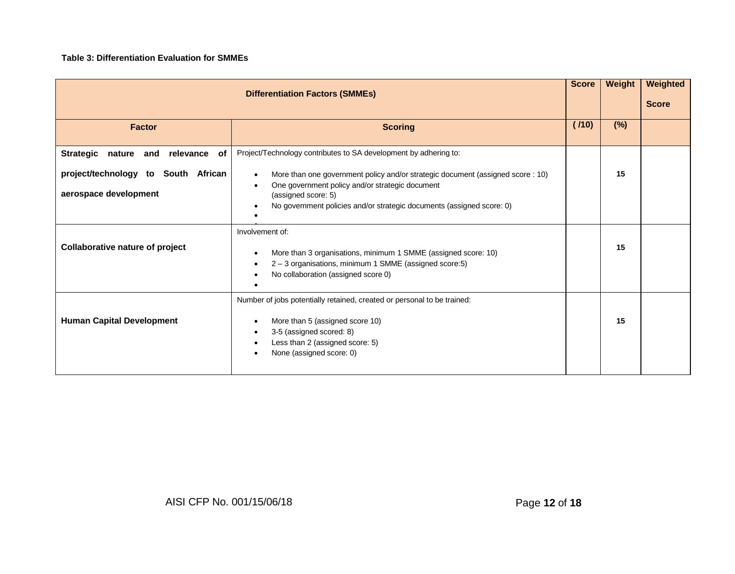#### **Table 3: Differentiation Evaluation for SMMEs**

| <b>Differentiation Factors (SMMEs)</b>                                                               |                                                                                                                                                                                                                                                                                                                                               |       | Weight | Weighted<br><b>Score</b> |
|------------------------------------------------------------------------------------------------------|-----------------------------------------------------------------------------------------------------------------------------------------------------------------------------------------------------------------------------------------------------------------------------------------------------------------------------------------------|-------|--------|--------------------------|
| <b>Factor</b>                                                                                        | <b>Scoring</b>                                                                                                                                                                                                                                                                                                                                | (110) | $(\%)$ |                          |
| Strategic nature and relevance<br>οf<br>project/technology to South African<br>aerospace development | Project/Technology contributes to SA development by adhering to:<br>More than one government policy and/or strategic document (assigned score : 10)<br>$\bullet$<br>One government policy and/or strategic document<br>$\bullet$<br>(assigned score: 5)<br>No government policies and/or strategic documents (assigned score: 0)<br>$\bullet$ |       | 15     |                          |
| Collaborative nature of project                                                                      | Involvement of:<br>More than 3 organisations, minimum 1 SMME (assigned score: 10)<br>$\bullet$<br>2 - 3 organisations, minimum 1 SMME (assigned score:5)<br>$\bullet$<br>No collaboration (assigned score 0)<br>٠                                                                                                                             |       | 15     |                          |
| <b>Human Capital Development</b>                                                                     | Number of jobs potentially retained, created or personal to be trained:<br>More than 5 (assigned score 10)<br>$\bullet$<br>3-5 (assigned scored: 8)<br>$\bullet$<br>Less than 2 (assigned score: 5)<br>None (assigned score: 0)<br>$\bullet$                                                                                                  |       | 15     |                          |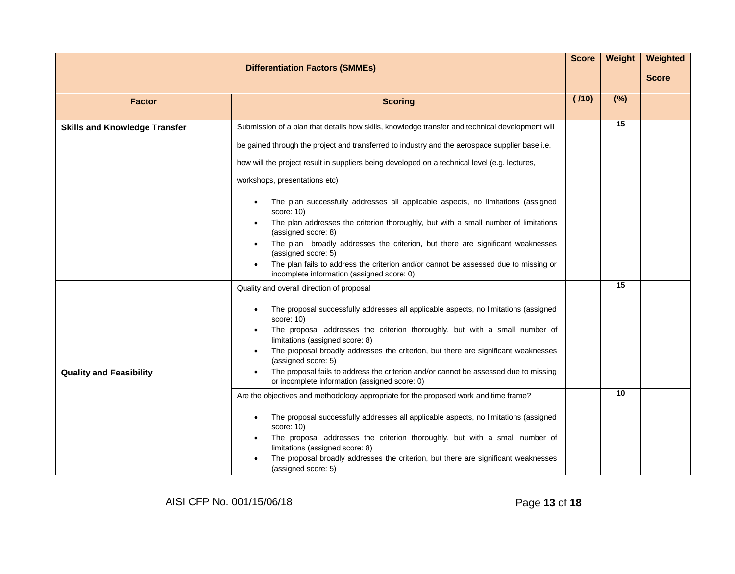| <b>Differentiation Factors (SMMEs)</b>                                                                                                                                                                                                                                                                                                                                                                                                                                                                                                                                                                                                                                                                                                                                                                                                                                                                                                                                                                           |                                                                                                                                                                                                                                                                                                                                                                                                                                                                                                                                                                                                                                                                                                                                                                                                                |  | Weight                | Weighted<br><b>Score</b> |
|------------------------------------------------------------------------------------------------------------------------------------------------------------------------------------------------------------------------------------------------------------------------------------------------------------------------------------------------------------------------------------------------------------------------------------------------------------------------------------------------------------------------------------------------------------------------------------------------------------------------------------------------------------------------------------------------------------------------------------------------------------------------------------------------------------------------------------------------------------------------------------------------------------------------------------------------------------------------------------------------------------------|----------------------------------------------------------------------------------------------------------------------------------------------------------------------------------------------------------------------------------------------------------------------------------------------------------------------------------------------------------------------------------------------------------------------------------------------------------------------------------------------------------------------------------------------------------------------------------------------------------------------------------------------------------------------------------------------------------------------------------------------------------------------------------------------------------------|--|-----------------------|--------------------------|
| <b>Factor</b>                                                                                                                                                                                                                                                                                                                                                                                                                                                                                                                                                                                                                                                                                                                                                                                                                                                                                                                                                                                                    | <b>Scoring</b>                                                                                                                                                                                                                                                                                                                                                                                                                                                                                                                                                                                                                                                                                                                                                                                                 |  |                       |                          |
| <b>Skills and Knowledge Transfer</b>                                                                                                                                                                                                                                                                                                                                                                                                                                                                                                                                                                                                                                                                                                                                                                                                                                                                                                                                                                             | Submission of a plan that details how skills, knowledge transfer and technical development will<br>be gained through the project and transferred to industry and the aerospace supplier base i.e.<br>how will the project result in suppliers being developed on a technical level (e.g. lectures,<br>workshops, presentations etc)<br>The plan successfully addresses all applicable aspects, no limitations (assigned<br>$\bullet$<br>score: 10)<br>The plan addresses the criterion thoroughly, but with a small number of limitations<br>(assigned score: 8)<br>The plan broadly addresses the criterion, but there are significant weaknesses<br>(assigned score: 5)<br>The plan fails to address the criterion and/or cannot be assessed due to missing or<br>incomplete information (assigned score: 0) |  | $\overline{15}$       |                          |
| Quality and overall direction of proposal<br>The proposal successfully addresses all applicable aspects, no limitations (assigned<br>$\bullet$<br>score: 10)<br>The proposal addresses the criterion thoroughly, but with a small number of<br>limitations (assigned score: 8)<br>The proposal broadly addresses the criterion, but there are significant weaknesses<br>(assigned score: 5)<br>The proposal fails to address the criterion and/or cannot be assessed due to missing<br><b>Quality and Feasibility</b><br>or incomplete information (assigned score: 0)<br>Are the objectives and methodology appropriate for the proposed work and time frame?<br>The proposal successfully addresses all applicable aspects, no limitations (assigned<br>$\bullet$<br>score: 10)<br>The proposal addresses the criterion thoroughly, but with a small number of<br>limitations (assigned score: 8)<br>The proposal broadly addresses the criterion, but there are significant weaknesses<br>(assigned score: 5) |                                                                                                                                                                                                                                                                                                                                                                                                                                                                                                                                                                                                                                                                                                                                                                                                                |  | $\overline{15}$<br>10 |                          |

AISI CFP No. 001/15/06/18 Page **13** of **18**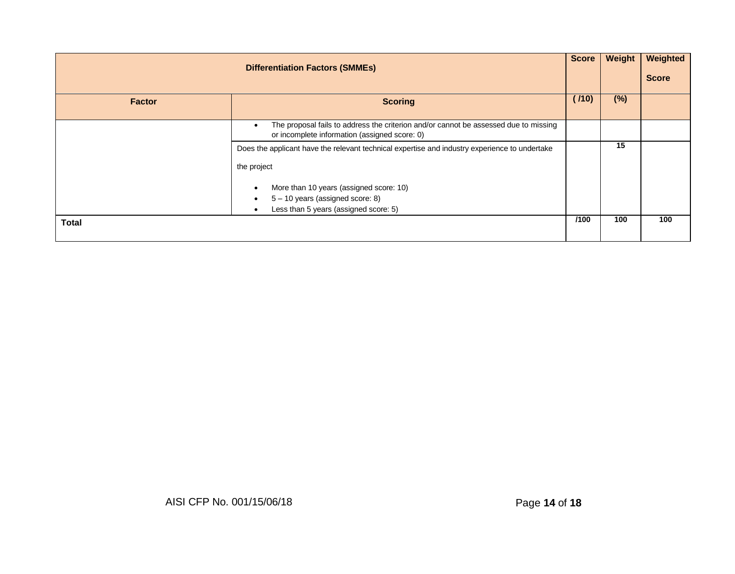| <b>Differentiation Factors (SMMEs)</b> |                                                                                                                                                             | <b>Score</b> | Weight | Weighted<br><b>Score</b> |
|----------------------------------------|-------------------------------------------------------------------------------------------------------------------------------------------------------------|--------------|--------|--------------------------|
| <b>Factor</b>                          | <b>Scoring</b>                                                                                                                                              | (110)        | $(\%)$ |                          |
|                                        | The proposal fails to address the criterion and/or cannot be assessed due to missing<br>$\bullet$<br>or incomplete information (assigned score: 0)          |              |        |                          |
|                                        | Does the applicant have the relevant technical expertise and industry experience to undertake<br>the project                                                |              | 15     |                          |
|                                        | More than 10 years (assigned score: 10)<br>$\bullet$<br>5 - 10 years (assigned score: 8)<br>$\bullet$<br>Less than 5 years (assigned score: 5)<br>$\bullet$ |              |        |                          |
| Total                                  |                                                                                                                                                             | /100         | 100    | 100                      |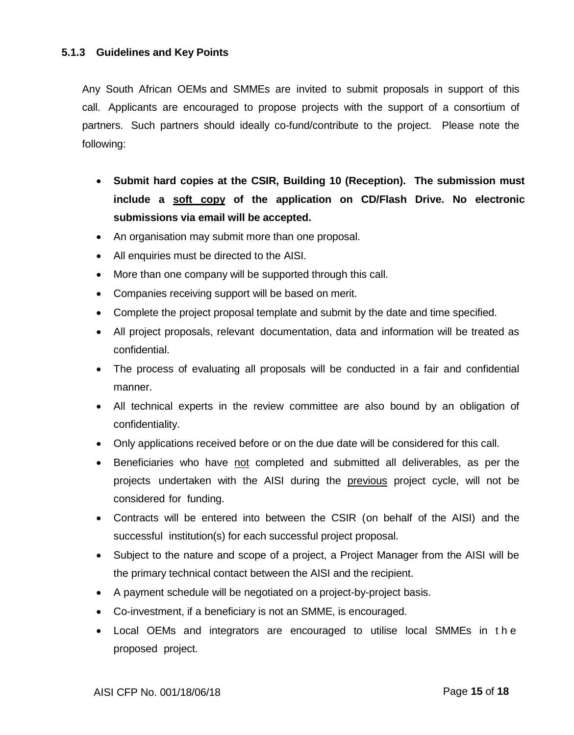Any South African OEMs and SMMEs are invited to submit proposals in support of this call. Applicants are encouraged to propose projects with the support of a consortium of partners. Such partners should ideally co-fund/contribute to the project. Please note the following:

- **Submit hard copies at the CSIR, Building 10 (Reception). The submission must include a soft copy of the application on CD/Flash Drive. No electronic submissions via email will be accepted.**
- An organisation may submit more than one proposal.
- All enquiries must be directed to the AISI.
- More than one company will be supported through this call.
- Companies receiving support will be based on merit.
- Complete the project proposal template and submit by the date and time specified.
- All project proposals, relevant documentation, data and information will be treated as confidential.
- The process of evaluating all proposals will be conducted in a fair and confidential manner.
- All technical experts in the review committee are also bound by an obligation of confidentiality.
- Only applications received before or on the due date will be considered for this call.
- Beneficiaries who have not completed and submitted all deliverables, as per the projects undertaken with the AISI during the previous project cycle, will not be considered for funding.
- Contracts will be entered into between the CSIR (on behalf of the AISI) and the successful institution(s) for each successful project proposal.
- Subject to the nature and scope of a project, a Project Manager from the AISI will be the primary technical contact between the AISI and the recipient.
- A payment schedule will be negotiated on a project-by-project basis.
- Co-investment, if a beneficiary is not an SMME, is encouraged.
- Local OEMs and integrators are encouraged to utilise local SMMEs in t h e proposed project.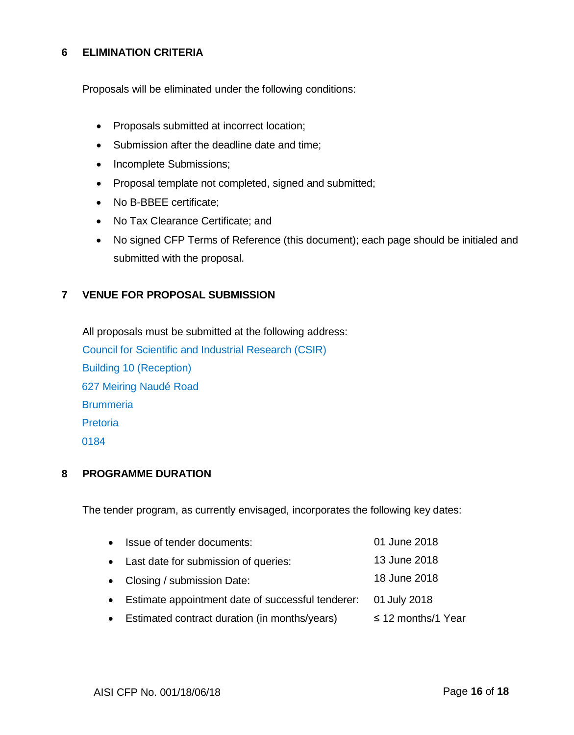### **6 ELIMINATION CRITERIA**

Proposals will be eliminated under the following conditions:

- Proposals submitted at incorrect location;
- Submission after the deadline date and time;
- Incomplete Submissions;
- Proposal template not completed, signed and submitted;
- No B-BBEE certificate;
- No Tax Clearance Certificate; and
- No signed CFP Terms of Reference (this document); each page should be initialed and submitted with the proposal.

### **7 VENUE FOR PROPOSAL SUBMISSION**

All proposals must be submitted at the following address:

Council for Scientific and Industrial Research (CSIR) Building 10 (Reception) 627 Meiring Naudé Road **Brummeria** Pretoria 0184

## **8 PROGRAMME DURATION**

The tender program, as currently envisaged, incorporates the following key dates:

| $\bullet$ | Issue of tender documents:                                       | 01 June 2018            |
|-----------|------------------------------------------------------------------|-------------------------|
|           | • Last date for submission of queries:                           | 13 June 2018            |
|           | • Closing / submission Date:                                     | 18 June 2018            |
|           | • Estimate appointment date of successful tenderer: 01 July 2018 |                         |
|           | • Estimated contract duration (in months/years)                  | $\leq$ 12 months/1 Year |
|           |                                                                  |                         |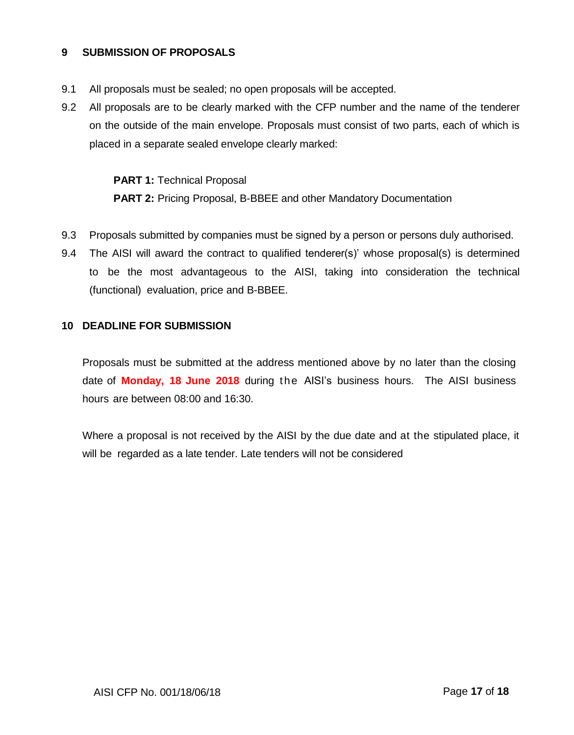#### **9 SUBMISSION OF PROPOSALS**

- 9.1 All proposals must be sealed; no open proposals will be accepted.
- 9.2 All proposals are to be clearly marked with the CFP number and the name of the tenderer on the outside of the main envelope. Proposals must consist of two parts, each of which is placed in a separate sealed envelope clearly marked:

**PART 1:** Technical Proposal **PART 2:** Pricing Proposal, B-BBEE and other Mandatory Documentation

- 9.3 Proposals submitted by companies must be signed by a person or persons duly authorised.
- 9.4 The AISI will award the contract to qualified tenderer(s)' whose proposal(s) is determined to be the most advantageous to the AISI, taking into consideration the technical (functional) evaluation, price and B-BBEE.

#### **10 DEADLINE FOR SUBMISSION**

Proposals must be submitted at the address mentioned above by no later than the closing date of **Monday, 18 June 2018** during the AISI's business hours. The AISI business hours are between 08:00 and 16:30.

Where a proposal is not received by the AISI by the due date and at the stipulated place, it will be regarded as a late tender. Late tenders will not be considered